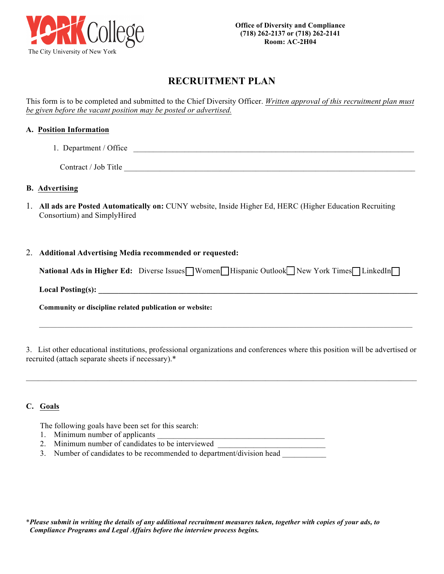

# **RECRUITMENT PLAN**

This form is to be completed and submitted to the Chief Diversity Officer. *Written approval of this recruitment plan must be given before the vacant position may be posted or advertised.* 

## **A. Position Information**

1. Department / Office

Contract / Job Title

### **B. Advertising**

1. **All ads are Posted Automatically on:** CUNY website, Inside Higher Ed, HERC (Higher Education Recruiting Consortium) and SimplyHired

#### 2. **Additional Advertising Media recommended or requested:**

| National Ads in Higher Ed: Diverse Issues□Women□Hispanic Outlook□New York Times□LinkedIn□ |  |  |  |  |  |  |
|-------------------------------------------------------------------------------------------|--|--|--|--|--|--|
|-------------------------------------------------------------------------------------------|--|--|--|--|--|--|

**Local Posting(s): \_\_\_\_\_\_\_\_\_\_\_\_\_\_\_\_\_\_\_\_\_\_\_\_\_\_\_\_\_\_\_\_\_\_\_\_\_\_\_\_\_\_\_\_\_\_\_\_\_\_\_\_\_\_\_\_\_\_\_\_\_\_\_\_\_\_\_\_\_\_\_\_\_\_\_\_\_\_\_\_**

**Community or discipline related publication or website:**

3. List other educational institutions, professional organizations and conferences where this position will be advertised or recruited (attach separate sheets if necessary).\*

 $\mathcal{L}_\text{max} = \mathcal{L}_\text{max} = \mathcal{L}_\text{max} = \mathcal{L}_\text{max} = \mathcal{L}_\text{max} = \mathcal{L}_\text{max} = \mathcal{L}_\text{max} = \mathcal{L}_\text{max} = \mathcal{L}_\text{max} = \mathcal{L}_\text{max} = \mathcal{L}_\text{max} = \mathcal{L}_\text{max} = \mathcal{L}_\text{max} = \mathcal{L}_\text{max} = \mathcal{L}_\text{max} = \mathcal{L}_\text{max} = \mathcal{L}_\text{max} = \mathcal{L}_\text{max} = \mathcal{$ 

 $\mathcal{L}_\text{max} = \mathcal{L}_\text{max} = \mathcal{L}_\text{max} = \mathcal{L}_\text{max} = \mathcal{L}_\text{max} = \mathcal{L}_\text{max} = \mathcal{L}_\text{max} = \mathcal{L}_\text{max} = \mathcal{L}_\text{max} = \mathcal{L}_\text{max} = \mathcal{L}_\text{max} = \mathcal{L}_\text{max} = \mathcal{L}_\text{max} = \mathcal{L}_\text{max} = \mathcal{L}_\text{max} = \mathcal{L}_\text{max} = \mathcal{L}_\text{max} = \mathcal{L}_\text{max} = \mathcal{$ 

#### **C. Goals**

The following goals have been set for this search:

- 1. Minimum number of applicants
- 2. Minimum number of candidates to be interviewed
- 3. Number of candidates to be recommended to department/division head \_\_\_\_\_\_\_\_\_\_

\**Please submit in writing the details of any additional recruitment measures taken, together with copies of your ads, to Compliance Programs and Legal Affairs before the interview process begins.*